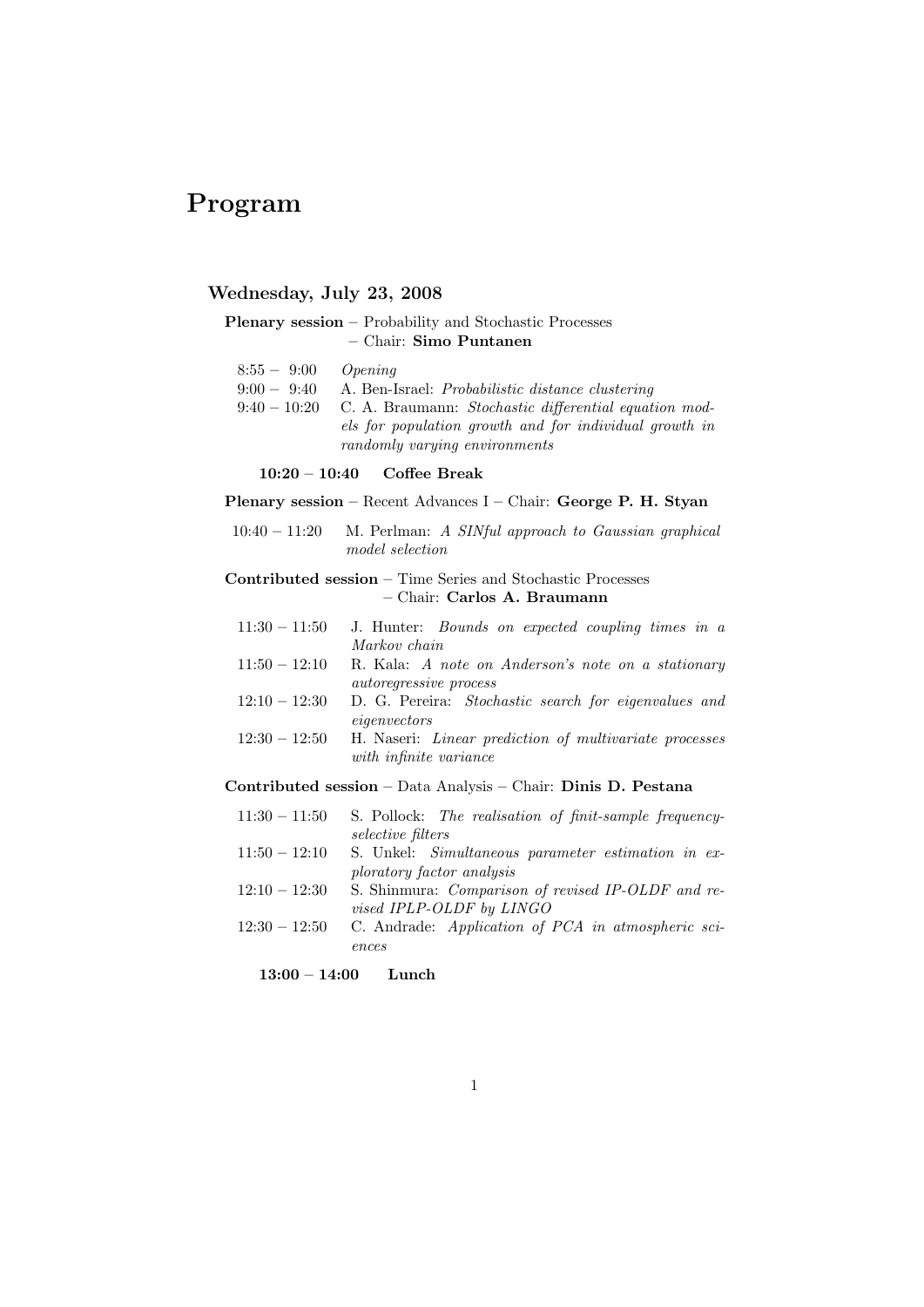# Program

# Wednesday, July 23, 2008

# Plenary session – Probability and Stochastic Processes – Chair: Simo Puntanen

| $8:55 - 9:00$  | Opening                                                                                 |
|----------------|-----------------------------------------------------------------------------------------|
| $9:00 - 9:40$  | A. Ben-Israel: <i>Probabilistic distance clustering</i>                                 |
| $9:40 - 10:20$ | C. A. Braumann: Stochastic differential equation mod-                                   |
|                | els for population growth and for individual growth in<br>randomly varying environments |

## 10:20 – 10:40 Coffee Break

# Plenary session – Recent Advances I – Chair: George P. H. Styan

10:40 – 11:20 M. Perlman: A SINful approach to Gaussian graphical model selection

# Contributed session – Time Series and Stochastic Processes – Chair: Carlos A. Braumann

| $11:30 - 11:50$ | J. Hunter: <i>Bounds</i> on expected coupling times in a |  |  |  |  |
|-----------------|----------------------------------------------------------|--|--|--|--|
|                 | Markov chain                                             |  |  |  |  |
| $11:50 - 12:10$ | R. Kala: A note on Anderson's note on a stationary       |  |  |  |  |
|                 | <i>autoregressive process</i>                            |  |  |  |  |

- 12:10 12:30 D. G. Pereira: Stochastic search for eigenvalues and eigenvectors
- $12:30 12:50$  H. Naseri: *Linear prediction of multivariate processes* with infinite variance

# Contributed session – Data Analysis – Chair: Dinis D. Pestana

| $11:30 - 11:50$ | S. Pollock: The realisation of finit-sample frequency-    |
|-----------------|-----------------------------------------------------------|
|                 | <i>selective filters</i>                                  |
| $11:50 - 12:10$ | S. Unkel: Simultaneous parameter estimation in ex-        |
|                 | ploratory factor analysis                                 |
| $12:10 - 12:30$ | S. Shinmura: Comparison of revised IP-OLDF and re-        |
|                 | <i>vised IPLP-OLDF by LINGO</i>                           |
| $12:30 - 12:50$ | C. Andrade: <i>Application of PCA in atmospheric sci-</i> |
|                 | ences                                                     |
|                 |                                                           |

13:00 – 14:00 Lunch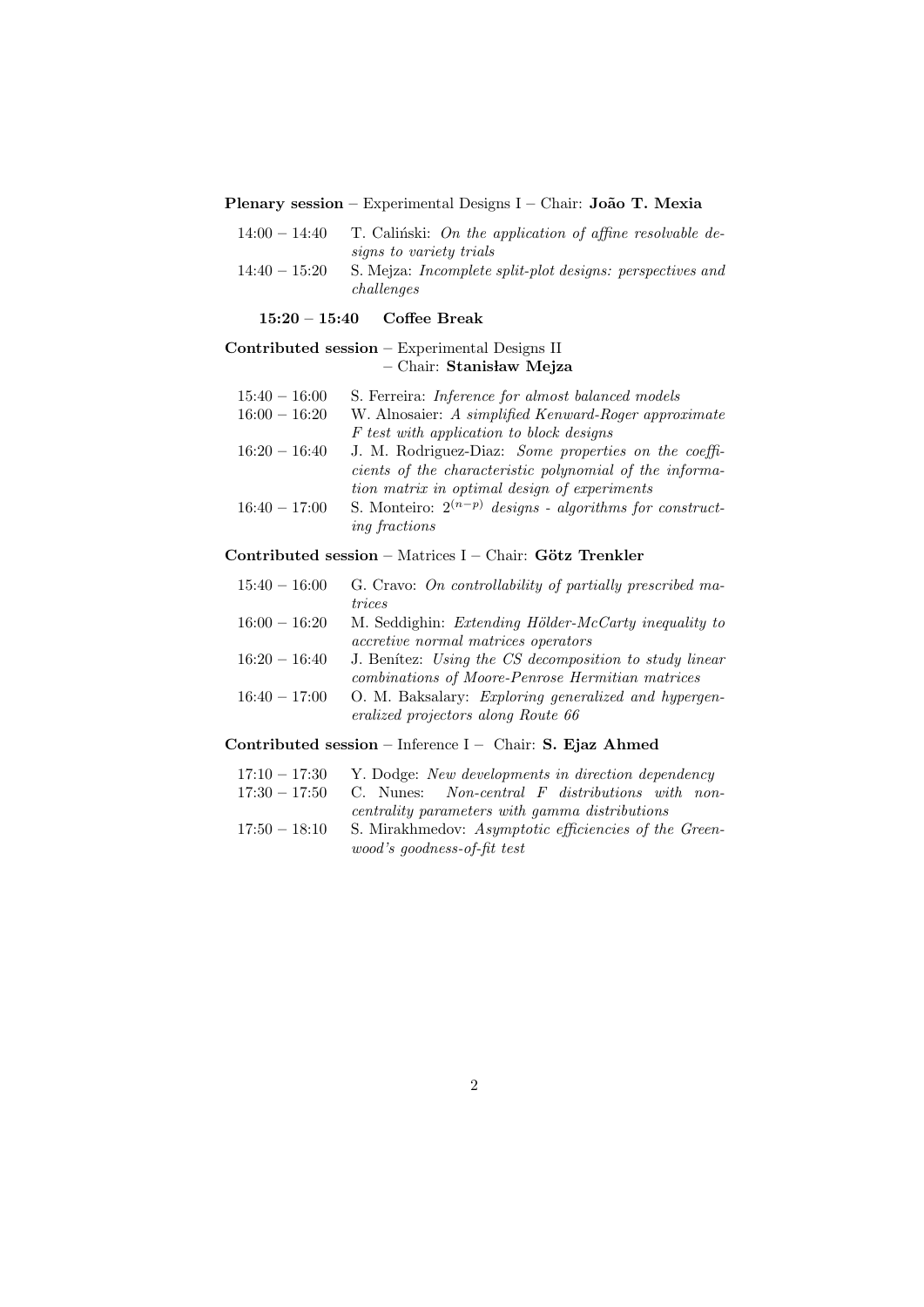# Plenary session – Experimental Designs I – Chair: João T. Mexia

| $14:00 - 14:40$ | T. Calinski: On the application of affine resolvable de-         |
|-----------------|------------------------------------------------------------------|
|                 | signs to variety trials                                          |
| $14:40 - 15:20$ | S. Mejza: <i>Incomplete split-plot designs: perspectives and</i> |
|                 | challenges                                                       |

15:20 – 15:40 Coffee Break

# Contributed session – Experimental Designs II – Chair: Stanisław Mejza

| $15:40 - 16:00$ | S. Ferreira: Inference for almost balanced models            |
|-----------------|--------------------------------------------------------------|
| $16:00 - 16:20$ | W. Alnosaier: A simplified Kenward-Roger approximate         |
|                 | F test with application to block designs                     |
| $16:20 - 16:40$ | J. M. Rodriguez-Diaz: Some properties on the coeffi-         |
|                 | cients of the characteristic polynomial of the informa-      |
|                 | tion matrix in optimal design of experiments                 |
| $16:40 - 17:00$ | S. Monteiro: $2^{(n-p)}$ designs - algorithms for construct- |
|                 | <i>ing fractions</i>                                         |

# Contributed session – Matrices I – Chair: Götz Trenkler

| $15:40 - 16:00$ | G. Cravo: On controllability of partially prescribed ma-     |
|-----------------|--------------------------------------------------------------|
|                 | trices                                                       |
| $16:00 - 16:20$ | M. Seddighin: <i>Extending Hölder-McCarty inequality to</i>  |
|                 | <i>accretive normal matrices operators</i>                   |
| $16:20 - 16:40$ | J. Benitez: Using the CS decomposition to study linear       |
|                 | combinations of Moore-Penrose Hermitian matrices             |
| $16:40 - 17:00$ | O. M. Baksalary: <i>Exploring generalized and hypergen</i> - |
|                 | eralized projectors along Route 66                           |

# Contributed session – Inference I – Chair: S. Ejaz Ahmed

| $17:10 - 17:30$ | Y. Dodge: New developments in direction dependency    |
|-----------------|-------------------------------------------------------|
| $17:30 - 17:50$ | C. Nunes: Non-central F distributions with non-       |
|                 | centrality parameters with gamma distributions        |
| $17:50 - 18:10$ | S. Mirakhmedov: Asymptotic efficiencies of the Green- |
|                 | wood's goodness-of-fit test                           |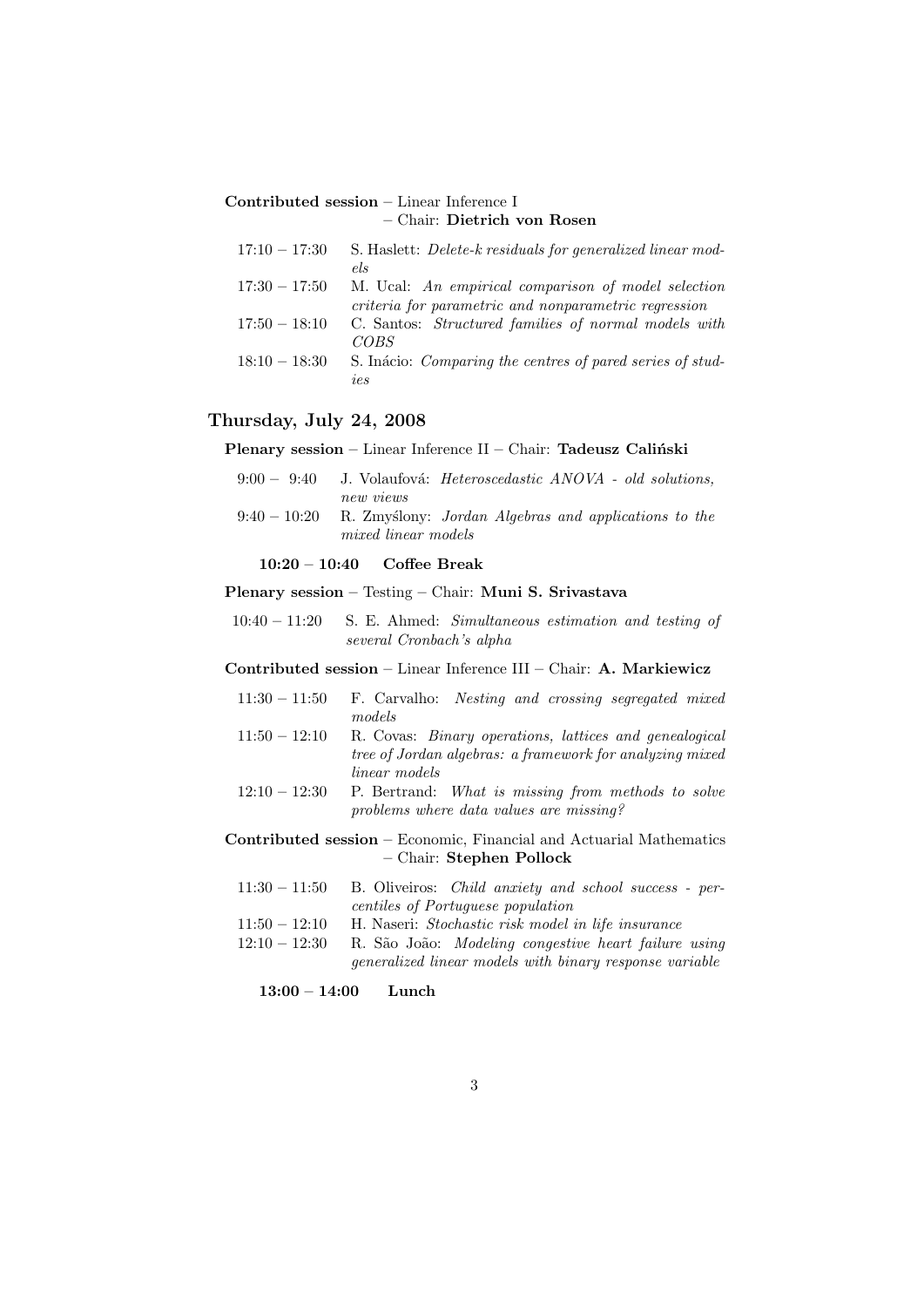# Contributed session – Linear Inference I – Chair: Dietrich von Rosen

| $17:10 - 17:30$ | S. Haslett: <i>Delete-k residuals for generalized linear mod-</i> |
|-----------------|-------------------------------------------------------------------|
|                 | els                                                               |
| $17:30 - 17:50$ | M. Ucal: An empirical comparison of model selection               |
|                 | criteria for parametric and nonparametric regression              |
| $17:50 - 18:10$ | C. Santos: Structured families of normal models with              |
|                 | COBS                                                              |
| $18:10 - 18:30$ | S. Inácio: Comparing the centres of pared series of stud-         |
|                 | ies                                                               |

# Thursday, July 24, 2008

# Plenary session – Linear Inference II – Chair: Tadeusz Caliński

| $9:00 - 9:40$ | J. Volaufová: <i>Heteroscedastic ANOVA</i> - <i>old solutions</i> ,                      |
|---------------|------------------------------------------------------------------------------------------|
| $9:40-10:20$  | new views<br>R. Zmyślony: Jordan Algebras and applications to the<br>mixed linear models |

## 10:20 – 10:40 Coffee Break

## Plenary session – Testing – Chair: Muni S. Srivastava

10:40 – 11:20 S. E. Ahmed: Simultaneous estimation and testing of several Cronbach's alpha

# Contributed session – Linear Inference III – Chair: A. Markiewicz

|                 | $11:30 - 11:50$ F. Carvalho: <i>Nesting and crossing segregated mixed</i> |
|-----------------|---------------------------------------------------------------------------|
|                 | models                                                                    |
| $11:50 - 12:10$ | R. Covas: <i>Binary operations</i> , <i>lattices and genealogical</i>     |
|                 | tree of Jordan algebras: a framework for analyzing mixed                  |
|                 | <i>linear</i> models                                                      |
| $12:10 - 12:30$ | P. Bertrand: What is missing from methods to solve                        |
|                 | problems where data values are missing?                                   |

## Contributed session – Economic, Financial and Actuarial Mathematics – Chair: Stephen Pollock

- $11:30 11:50$  B. Oliveiros: *Child anxiety and school success per*centiles of Portuguese population
- 11:50 12:10 H. Naseri: Stochastic risk model in life insurance
- $12:10 12:30$  R. São João: *Modeling congestive heart failure using* generalized linear models with binary response variable
	- 13:00 14:00 Lunch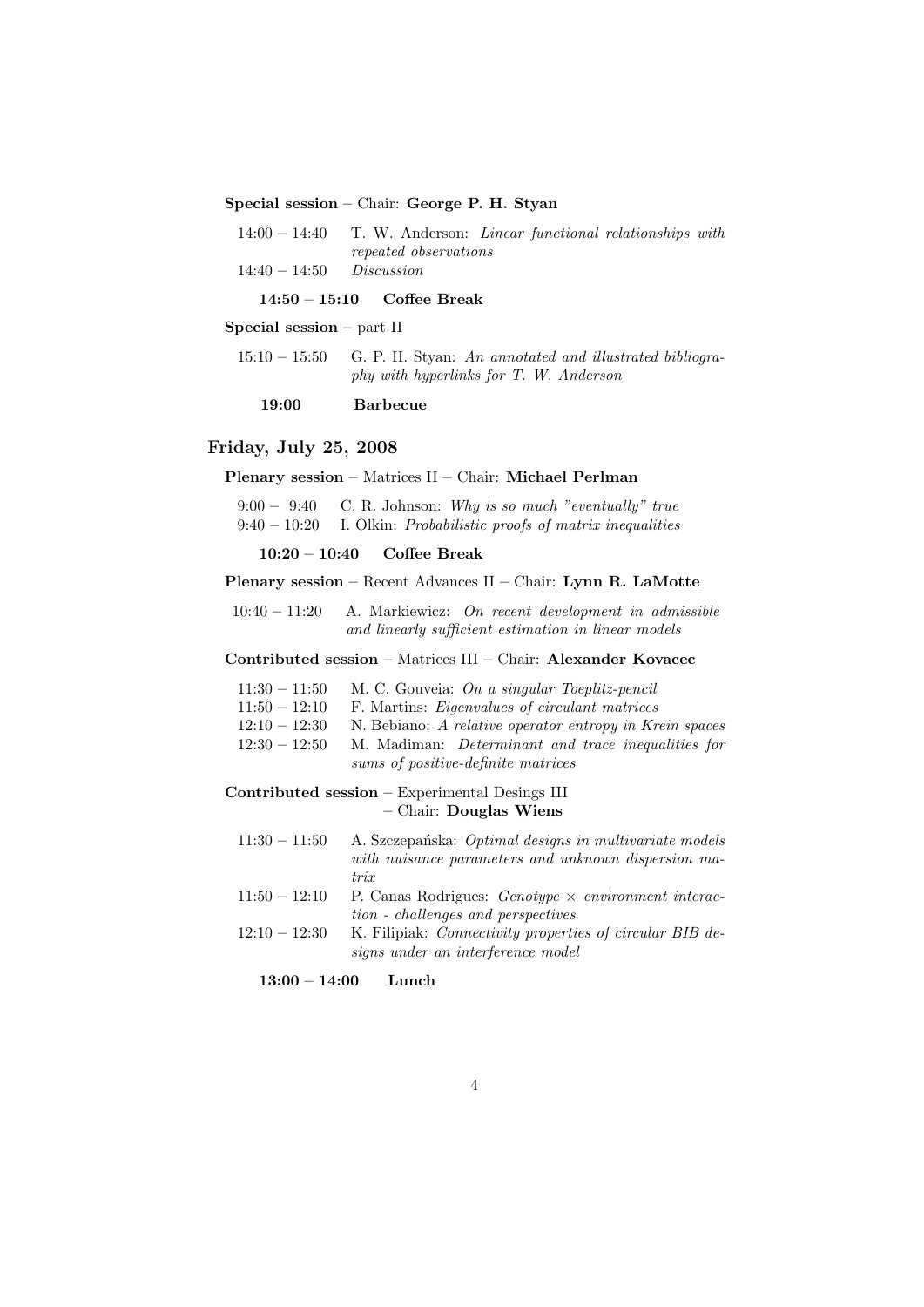Special session – Chair: George P. H. Styan

|                            | $14:00-14:40$ T. W. Anderson: <i>Linear functional relationships with</i> |  |  |
|----------------------------|---------------------------------------------------------------------------|--|--|
|                            | repeated observations                                                     |  |  |
| $14:40 - 14:50$ Discussion |                                                                           |  |  |

14:50 – 15:10 Coffee Break

Special session – part II

 $15:10-15:50$  G. P. H. Styan: An annotated and illustrated bibliography with hyperlinks for T. W. Anderson

19:00 Barbecue

### Friday, July 25, 2008

## Plenary session – Matrices II – Chair: Michael Perlman

 $9:00 - 9:40$  C. R. Johnson: Why is so much "eventually" true  $9:40-10:20$  I. Olkin: Probabilistic proofs of matrix inequalities

10:20 – 10:40 Coffee Break

#### Plenary session – Recent Advances II – Chair: Lynn R. LaMotte

10:40 – 11:20 A. Markiewicz: On recent development in admissible and linearly sufficient estimation in linear models

# Contributed session – Matrices III – Chair: Alexander Kovacec

| $11:30 - 11:50$ M. C. Gouveia: On a singular Toeplitz-pencil |  |  |  |
|--------------------------------------------------------------|--|--|--|
|                                                              |  |  |  |

- $11:50 12:10$  F. Martins: *Eigenvalues of circulant matrices*
- $12:10 12:30$  N. Bebiano: A relative operator entropy in Krein spaces  $12:30 - 12:50$  M. Madiman: *Determinant and trace inequalities for*
- sums of positive-definite matrices

# Contributed session – Experimental Desings III – Chair: Douglas Wiens

- $11:30 11:50$  A. Szczepańska: Optimal designs in multivariate models with nuisance parameters and unknown dispersion matrix
- $11:50 12:10$  P. Canas Rodrigues: *Genotype*  $\times$  *environment interac*tion - challenges and perspectives
- 12:10 12:30 K. Filipiak: Connectivity properties of circular BIB designs under an interference model

13:00 – 14:00 Lunch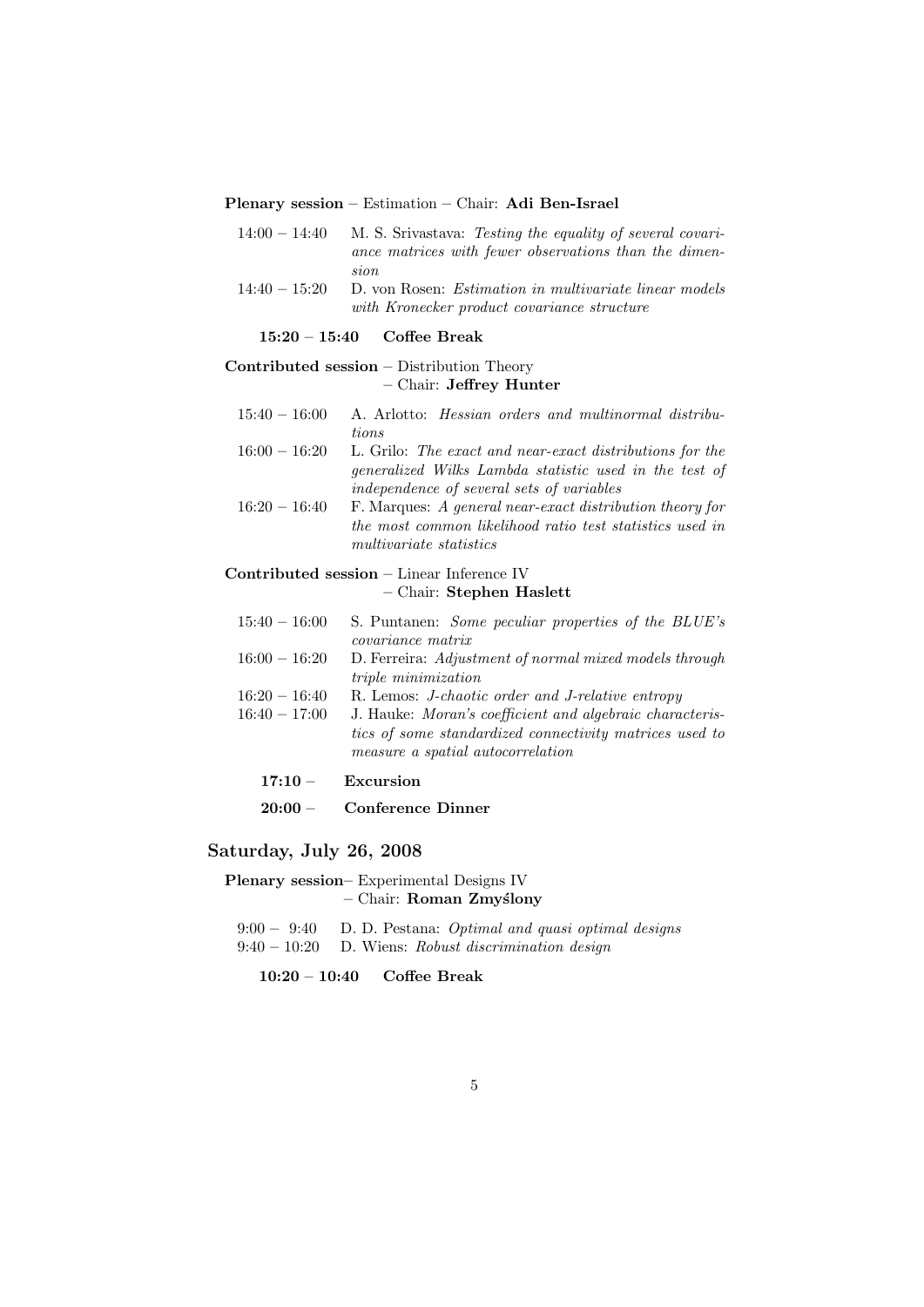#### Plenary session – Estimation – Chair: Adi Ben-Israel

- $14:00 14:40$  M. S. Srivastava: Testing the equality of several covariance matrices with fewer observations than the dimension
- 14:40 15:20 D. von Rosen: Estimation in multivariate linear models with Kronecker product covariance structure

### 15:20 – 15:40 Coffee Break

# Contributed session – Distribution Theory – Chair: Jeffrey Hunter

- 15:40 16:00 A. Arlotto: Hessian orders and multinormal distributions
- 16:00 16:20 L. Grilo: The exact and near-exact distributions for the generalized Wilks Lambda statistic used in the test of independence of several sets of variables
- $16:20 16:40$  F. Marques: A general near-exact distribution theory for the most common likelihood ratio test statistics used in multivariate statistics

# Contributed session – Linear Inference IV – Chair: Stephen Haslett

| $15:40 - 16:00$                    | S. Puntanen: <i>Some peculiar properties of the BLUE's</i><br><i>covariance matrix</i>                                                                                                                              |
|------------------------------------|---------------------------------------------------------------------------------------------------------------------------------------------------------------------------------------------------------------------|
| $16:00 - 16:20$                    | D. Ferreira: Adjustment of normal mixed models through<br><i>triple minimization</i>                                                                                                                                |
| $16:20 - 16:40$<br>$16:40 - 17:00$ | R. Lemos: <i>J-chaotic order and J-relative entropy</i><br>J. Hauke: Moran's coefficient and algebraic characteris-<br>tics of some standardized connectivity matrices used to<br>measure a spatial autocorrelation |
| $17:10 -$                          | Excursion                                                                                                                                                                                                           |
| $20:00 -$                          | <b>Conference Dinner</b>                                                                                                                                                                                            |

# Saturday, July 26, 2008

- Plenary session– Experimental Designs IV – Chair: Roman Zmy´slony
	- $9:00 9:40$  D. D. Pestana: Optimal and quasi optimal designs 9:40 – 10:20 D. Wiens: Robust discrimination design
		- 10:20 10:40 Coffee Break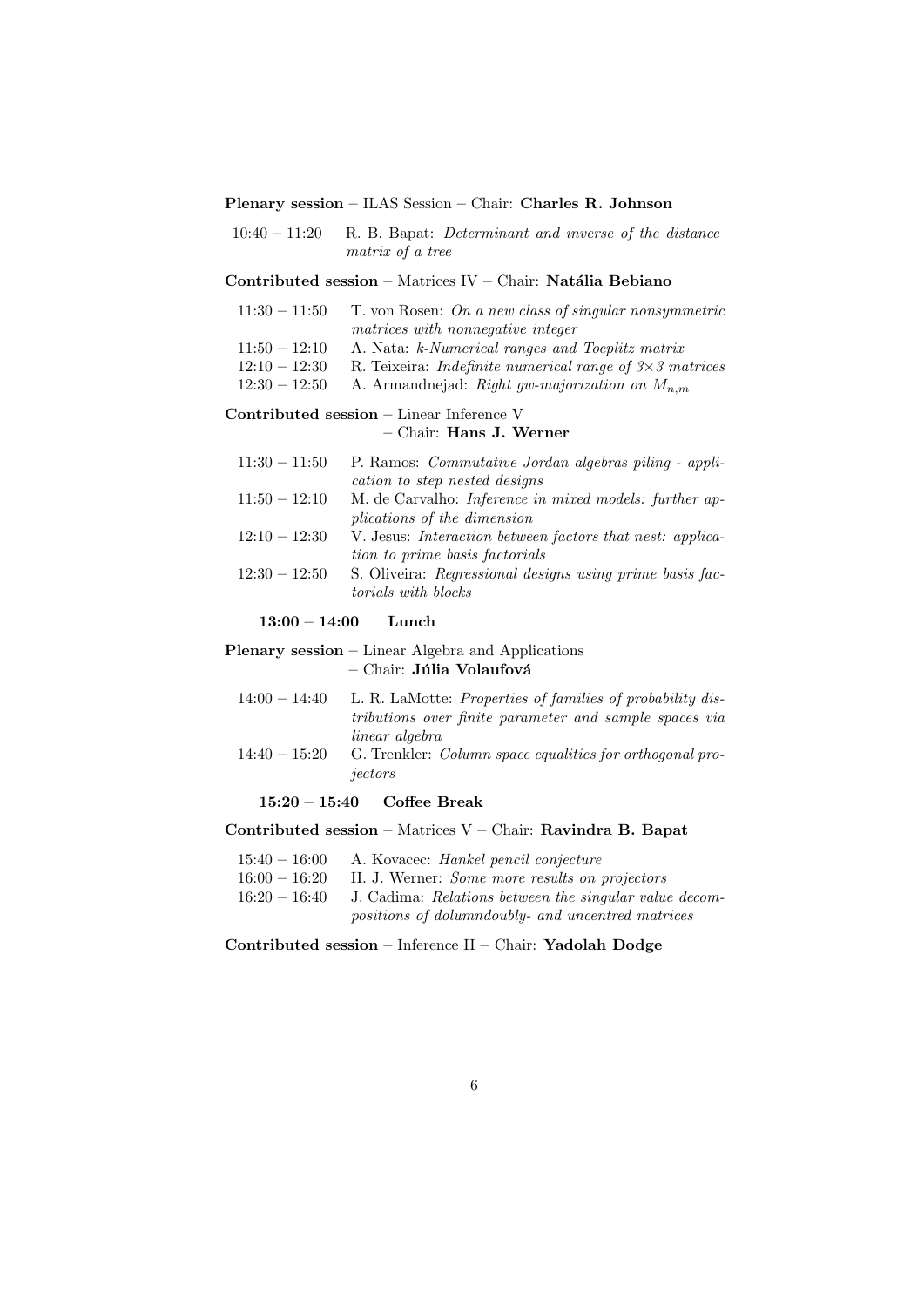#### Plenary session – ILAS Session – Chair: Charles R. Johnson

 $10:40 - 11:20$  R. B. Bapat: *Determinant and inverse of the distance* matrix of a tree

## Contributed session – Matrices IV – Chair: Natália Bebiano

- $11:30 11:50$  T. von Rosen: On a new class of singular nonsymmetric matrices with nonnegative integer  $11:50 - 12:10$  A. Nata: k-Numerical ranges and Toeplitz matrix 12:10 – 12:30 R. Teixeira: *Indefinite numerical range of*  $3 \times 3$  matrices
- 12:30 12:50 A. Armandnejad: Right gw-majorization on  $M_{n,m}$

#### Contributed session – Linear Inference V

## – Chair: Hans J. Werner

| $11:30 - 11:50$ | P. Ramos: <i>Commutative Jordan algebras piling - appli-</i>     |
|-----------------|------------------------------------------------------------------|
|                 | cation to step nested designs                                    |
| $11:50 - 12:10$ | M. de Carvalho: <i>Inference in mixed models: further ap-</i>    |
|                 | <i>plications of the dimension</i>                               |
| $12:10 - 12:30$ | V. Jesus: <i>Interaction between factors that nest: applica-</i> |
|                 | tion to prime basis factorials                                   |
| $12:30 - 12:50$ | S. Oliveira: Regressional designs using prime basis fac-         |
|                 | <i>torials with blocks</i>                                       |
|                 |                                                                  |

# 13:00 – 14:00 Lunch

## Plenary session – Linear Algebra and Applications  $-$  Chair: Júlia Volaufová

- $14:00 14:40$  L. R. LaMotte: Properties of families of probability distributions over finite parameter and sample spaces via linear algebra
- 14:40 15:20 G. Trenkler: Column space equalities for orthogonal projectors

## 15:20 – 15:40 Coffee Break

#### Contributed session – Matrices V – Chair: Ravindra B. Bapat

- 15:40 16:00 A. Kovacec: Hankel pencil conjecture
- 16:00 16:20 H. J. Werner: Some more results on projectors  $16:20 - 16:40$  J. Cadima: Relations between the singular value decom
	- positions of dolumndoubly- and uncentred matrices

Contributed session – Inference II – Chair: Yadolah Dodge